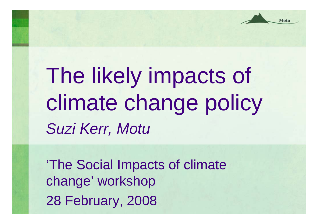Motu

The likely impacts of climate change policy *Suzi Kerr, Motu*

'The Social Impacts of climate change' workshop 28 February, 2008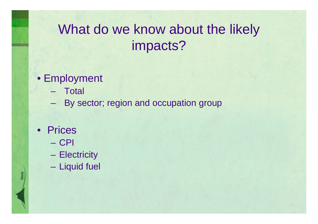# What do we know about the likely impacts?

#### • Employment

- Total
- **Hart Communist Communist Communist** By sector; region and occupation group
- Prices
	- CPI
	- –**Electricity**
	- Liquid fuel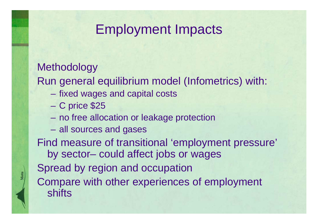### Employment Impacts

#### **Methodology**

Run general equilibrium model (Infometrics) with:

- –fixed wages and capital costs
- C price \$25
- no free allocation or leakage protection
- all sources and gases

Find measure of transitional 'employment pressure' by sector– could affect jobs or wages Spread by region and occupation Compare with other experiences of employment **shifts**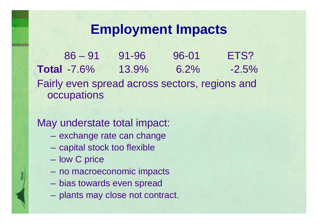## **Employment Impacts**

86 – 91 91-96 96-01 ETS?**Total** -7.6% 13.9% 6.2% -2.5%Fairly even spread across sectors, regions and **occupations** 

#### May understate total impact:

- exchange rate can change
- capital stock too flexible
- **Line Common** low C price
- –no macroeconomic impacts
- bias towards even spread
- plants may close not contract.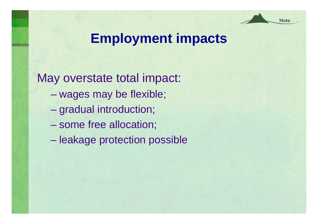

### **Employment impacts**

May overstate total impact: **Hart Committee** wages may be flexible;

- –gradual introduction;
- **Holland** Company some free allocation;
- leakage protection possible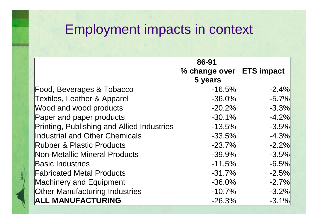# Employment impacts in context

|                                            | 86-91                    |          |
|--------------------------------------------|--------------------------|----------|
|                                            | % change over ETS impact |          |
|                                            | 5 years                  |          |
| Food, Beverages & Tobacco                  | $-16.5%$                 | $-2.4\%$ |
| <b>Textiles, Leather &amp; Apparel</b>     | $-36.0\%$                | $-5.7%$  |
| Wood and wood products                     | $-20.2\%$                | $-3.3%$  |
| Paper and paper products                   | $-30.1\%$                | $-4.2%$  |
| Printing, Publishing and Allied Industries | $-13.5%$                 | $-3.5%$  |
| Industrial and Other Chemicals             | $-33.5%$                 | $-4.3%$  |
| <b>Rubber &amp; Plastic Products</b>       | $-23.7%$                 | $-2.2%$  |
| Non-Metallic Mineral Products              | $-39.9\%$                | $-3.5%$  |
| <b>Basic Industries</b>                    | $-11.5%$                 | $-6.5%$  |
| <b>Fabricated Metal Products</b>           | $-31.7%$                 | $-2.5%$  |
| <b>Machinery and Equipment</b>             | $-36.0\%$                | $-2.7%$  |
| <b>Other Manufacturing Industries</b>      | $-10.7%$                 | $-3.2%$  |
| <b>ALL MANUFACTURING</b>                   | $-26.3%$                 | $-3.1%$  |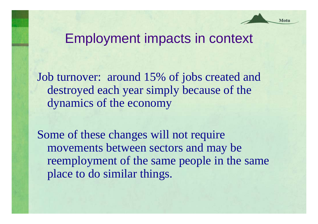#### Motu

### Employment impacts in context

Job turnover: around 15% of jobs created and destroyed each year simply because of the dynamics of the economy

Some of these changes will not require movements between sectors and may be reemployment of the same people in the same place to do similar things.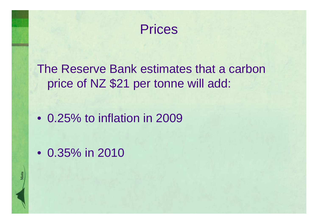Prices

The Reserve Bank estimates that a carbon price of NZ \$21 per tonne will add:

• 0.25% to inflation in 2009

• 0.35% in 2010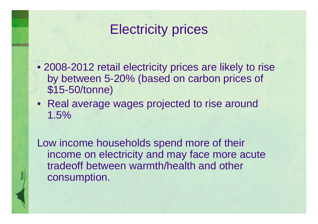## Electricity prices

- 2008-2012 retail electricity prices are likely to rise by between 5-20% (based on carbon prices of \$15-50/tonne)
- Real average wages projected to rise around 1.5%

Low income households spend more of their income on electricity and may face more acute tradeoff between warmth/health and other consumption.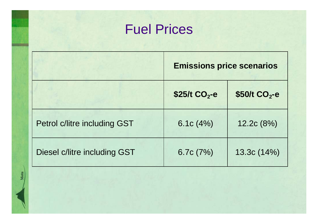# Fuel Prices

|                                     | <b>Emissions price scenarios</b> |                  |
|-------------------------------------|----------------------------------|------------------|
|                                     | $$25/t$ CO <sub>2</sub> -e       | \$50/t $CO2 - e$ |
| <b>Petrol c/litre including GST</b> | 6.1c $(4%)$                      | 12.2c(8%)        |
| Diesel c/litre including GST        | 6.7c $(7%)$                      | 13.3c(14%)       |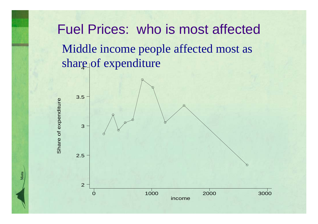Fuel Prices: who is most affected share of expenditure Middle income people affected most as

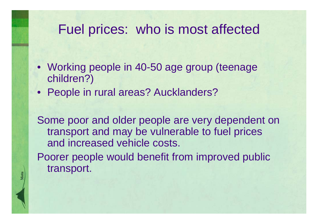### Fuel prices: who is most affected

- Working people in 40-50 age group (teenage children?)
- People in rural areas? Aucklanders?

Some poor and older people are very dependent on transport and may be vulnerable to fuel prices and increased vehicle costs.

Poorer people would benefit from improved public transport.